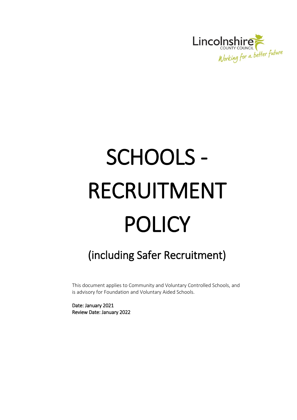

# SCHOOLS - RECRUITMENT POLICY

# (including Safer Recruitment)

This document applies to Community and Voluntary Controlled Schools, and is advisory for Foundation and Voluntary Aided Schools.

Date: January 2021 Review Date: January 2022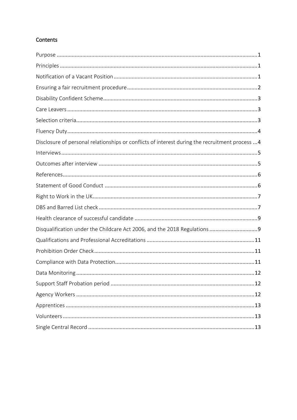# Contents

| Disclosure of personal relationships or conflicts of interest during the recruitment process  4 |
|-------------------------------------------------------------------------------------------------|
|                                                                                                 |
|                                                                                                 |
|                                                                                                 |
|                                                                                                 |
|                                                                                                 |
|                                                                                                 |
|                                                                                                 |
| Disqualification under the Childcare Act 2006, and the 2018 Regulations 9                       |
|                                                                                                 |
|                                                                                                 |
|                                                                                                 |
|                                                                                                 |
|                                                                                                 |
|                                                                                                 |
|                                                                                                 |
|                                                                                                 |
|                                                                                                 |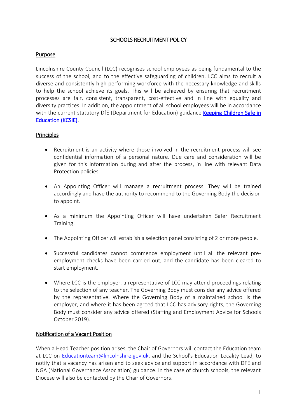#### SCHOOLS RECRUITMENT POLICY

#### <span id="page-2-0"></span>Purpose

Lincolnshire County Council (LCC) recognises school employees as being fundamental to the success of the school, and to the effective safeguarding of children. LCC aims to recruit a diverse and consistently high performing workforce with the necessary knowledge and skills to help the school achieve its goals. This will be achieved by ensuring that recruitment processes are fair, consistent, transparent, cost-effective and in line with equality and diversity practices. In addition, the appointment of all school employees will be in accordance with the current statutory DfE (Department for Education) guidance Keeping Children Safe in [Education \(KCSIE\).](https://www.gov.uk/government/publications/keeping-children-safe-in-education--2)

# <span id="page-2-1"></span>**Principles**

- Recruitment is an activity where those involved in the recruitment process will see confidential information of a personal nature. Due care and consideration will be given for this information during and after the process, in line with relevant Data Protection policies.
- An Appointing Officer will manage a recruitment process. They will be trained accordingly and have the authority to recommend to the Governing Body the decision to appoint.
- As a minimum the Appointing Officer will have undertaken Safer Recruitment Training.
- The Appointing Officer will establish a selection panel consisting of 2 or more people.
- Successful candidates cannot commence employment until all the relevant preemployment checks have been carried out, and the candidate has been cleared to start employment.
- Where LCC is the employer, a representative of LCC may attend proceedings relating to the selection of any teacher. The Governing Body must consider any advice offered by the representative. Where the Governing Body of a maintained school is the employer, and where it has been agreed that LCC has advisory rights, the Governing Body must consider any advice offered (Staffing and Employment Advice for Schools October 2019).

#### <span id="page-2-2"></span>Notification of a Vacant Position

When a Head Teacher position arises, the Chair of Governors will contact the Education team at LCC on [Educationteam@lincolnshire.gov.uk,](mailto:Educationteam@lincolnshire.gov.uk) and the School's Education Locality Lead, to notify that a vacancy has arisen and to seek advice and support in accordance with DFE and NGA (National Governance Association) guidance. In the case of church schools, the relevant Diocese will also be contacted by the Chair of Governors.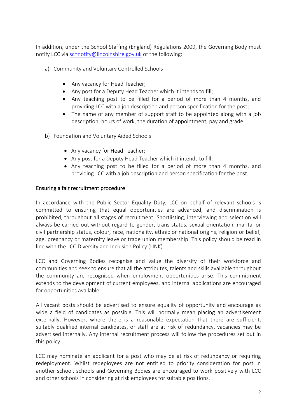In addition, under the School Staffing (England) Regulations 2009, the Governing Body must notify LCC via [schnotify@lincolnshire.gov.uk](mailto:schnotify@lincolnshire.gov.uk) of the following:

- a) Community and Voluntary Controlled Schools
	- Any vacancy for Head Teacher;
	- Any post for a Deputy Head Teacher which it intends to fill;
	- Any teaching post to be filled for a period of more than 4 months, and providing LCC with a job description and person specification for the post;
	- The name of any member of support staff to be appointed along with a job description, hours of work, the duration of appointment, pay and grade.
- b) Foundation and Voluntary Aided Schools
	- Any vacancy for Head Teacher;
	- Any post for a Deputy Head Teacher which it intends to fill;
	- Any teaching post to be filled for a period of more than 4 months, and providing LCC with a job description and person specification for the post.

#### <span id="page-3-0"></span>Ensuring a fair recruitment procedure

In accordance with the Public Sector Equality Duty, LCC on behalf of relevant schools is committed to ensuring that equal opportunities are advanced, and discrimination is prohibited, throughout all stages of recruitment. Shortlisting, interviewing and selection will always be carried out without regard to gender, trans status, sexual orientation, marital or civil partnership status, colour, race, nationality, ethnic or national origins, religion or belief, age, pregnancy or maternity leave or trade union membership. This policy should be read in line with the LCC Diversity and Inclusion Policy (LINK).

LCC and Governing Bodies recognise and value the diversity of their workforce and communities and seek to ensure that all the attributes, talents and skills available throughout the community are recognised when employment opportunities arise. This commitment extends to the development of current employees, and internal applications are encouraged for opportunities available.

All vacant posts should be advertised to ensure equality of opportunity and encourage as wide a field of candidates as possible. This will normally mean placing an advertisement externally. However, where there is a reasonable expectation that there are sufficient, suitably qualified internal candidates, or staff are at risk of redundancy, vacancies may be advertised internally. Any internal recruitment process will follow the procedures set out in this policy

LCC may nominate an applicant for a post who may be at risk of redundancy or requiring redeployment. Whilst redeployees are not entitled to priority consideration for post in another school, schools and Governing Bodies are encouraged to work positively with LCC and other schools in considering at risk employees for suitable positions.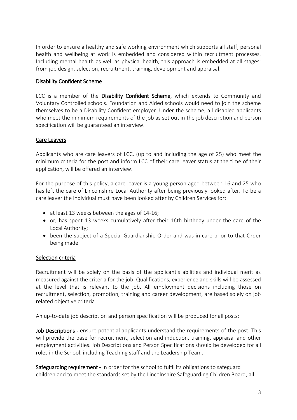In order to ensure a healthy and safe working environment which supports all staff, personal health and wellbeing at work is embedded and considered within recruitment processes. Including mental health as well as physical health, this approach is embedded at all stages; from job design, selection, recruitment, training, development and appraisal.

#### <span id="page-4-0"></span>Disability Confident Scheme

LCC is a member of the Disability Confident Scheme, which extends to Community and Voluntary Controlled schools. Foundation and Aided schools would need to join the scheme themselves to be a Disability Confident employer. Under the scheme, all disabled applicants who meet the minimum requirements of the job as set out in the job description and person specification will be guaranteed an interview.

# <span id="page-4-1"></span>Care Leavers

Applicants who are care leavers of LCC, (up to and including the age of 25) who meet the minimum criteria for the post and inform LCC of their care leaver status at the time of their application, will be offered an interview.

For the purpose of this policy, a care leaver is a young person aged between 16 and 25 who has left the care of Lincolnshire Local Authority after being previously looked after. To be a care leaver the individual must have been looked after by Children Services for:

- at least 13 weeks between the ages of 14-16;
- or, has spent 13 weeks cumulatively after their 16th birthday under the care of the Local Authority;
- been the subject of a Special Guardianship Order and was in care prior to that Order being made.

# <span id="page-4-2"></span>Selection criteria

Recruitment will be solely on the basis of the applicant's abilities and individual merit as measured against the criteria for the job. Qualifications, experience and skills will be assessed at the level that is relevant to the job. All employment decisions including those on recruitment, selection, promotion, training and career development, are based solely on job related objective criteria.

An up-to-date job description and person specification will be produced for all posts:

Job Descriptions - ensure potential applicants understand the requirements of the post. This will provide the base for recruitment, selection and induction, training, appraisal and other employment activities. Job Descriptions and Person Specifications should be developed for all roles in the School, including Teaching staff and the Leadership Team.

Safeguarding requirement - In order for the school to fulfil its obligations to safeguard children and to meet the standards set by the Lincolnshire Safeguarding Children Board, all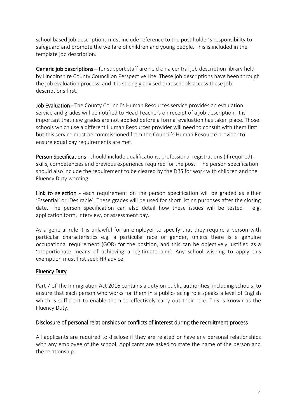school based job descriptions must include reference to the post holder's responsibility to safeguard and promote the welfare of children and young people. This is included in the template job description.

Generic job descriptions – for support staff are held on a central job description library held by Lincolnshire County Council on Perspective Lite. These job descriptions have been through the job evaluation process, and it is strongly advised that schools access these job descriptions first.

Job Evaluation - The County Council's Human Resources service provides an evaluation service and grades will be notified to Head Teachers on receipt of a job description. It is important that new grades are not applied before a formal evaluation has taken place. Those schools which use a different Human Resources provider will need to consult with them first but this service must be commissioned from the Council's Human Resource provider to ensure equal pay requirements are met.

Person Specifications - should include qualifications, professional registrations (if required), skills, competencies and previous experience required for the post. The person specification should also include the requirement to be cleared by the DBS for work with children and the Fluency Duty wording

Link to selection - each requirement on the person specification will be graded as either 'Essential' or 'Desirable'. These grades will be used for short listing purposes after the closing date. The person specification can also detail how these issues will be tested  $-$  e.g. application form, interview, or assessment day.

As a general rule it is unlawful for an employer to specify that they require a person with particular characteristics e.g. a particular race or gender, unless there is a genuine occupational requirement (GOR) for the position, and this can be objectively justified as a 'proportionate means of achieving a legitimate aim'. Any school wishing to apply this exemption must first seek HR advice.

#### <span id="page-5-0"></span>Fluency Duty

Part 7 of The Immigration Act 2016 contains a duty on public authorities, including schools, to ensure that each person who works for them in a public-facing role speaks a level of English which is sufficient to enable them to effectively carry out their role. This is known as the Fluency Duty.

#### <span id="page-5-1"></span>Disclosure of personal relationships or conflicts of interest during the recruitment process

All applicants are required to disclose if they are related or have any personal relationships with any employee of the school. Applicants are asked to state the name of the person and the relationship.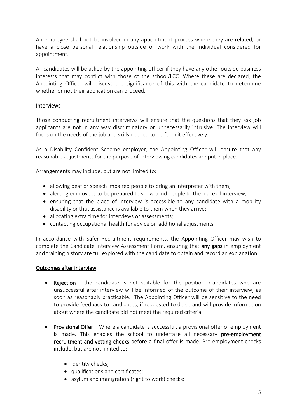An employee shall not be involved in any appointment process where they are related, or have a close personal relationship outside of work with the individual considered for appointment.

All candidates will be asked by the appointing officer if they have any other outside business interests that may conflict with those of the school/LCC. Where these are declared, the Appointing Officer will discuss the significance of this with the candidate to determine whether or not their application can proceed.

#### <span id="page-6-0"></span>Interviews

Those conducting recruitment interviews will ensure that the questions that they ask job applicants are not in any way discriminatory or unnecessarily intrusive. The interview will focus on the needs of the job and skills needed to perform it effectively.

As a Disability Confident Scheme employer, the Appointing Officer will ensure that any reasonable adjustments for the purpose of interviewing candidates are put in place.

Arrangements may include, but are not limited to:

- allowing deaf or speech impaired people to bring an interpreter with them;
- alerting employees to be prepared to show blind people to the place of interview;
- ensuring that the place of interview is accessible to any candidate with a mobility disability or that assistance is available to them when they arrive;
- allocating extra time for interviews or assessments;
- contacting occupational health for advice on additional adjustments.

In accordance with Safer Recruitment requirements, the Appointing Officer may wish to complete the Candidate Interview Assessment Form, ensuring that **any gaps** in employment and training history are full explored with the candidate to obtain and record an explanation.

#### <span id="page-6-1"></span>Outcomes after interview

- Rejection the candidate is not suitable for the position. Candidates who are unsuccessful after interview will be informed of the outcome of their interview, as soon as reasonably practicable. The Appointing Officer will be sensitive to the need to provide feedback to candidates, if requested to do so and will provide information about where the candidate did not meet the required criteria.
- Provisional Offer Where a candidate is successful, a provisional offer of employment is made. This enables the school to undertake all necessary pre-employment recruitment and vetting checks before a final offer is made. Pre-employment checks include, but are not limited to:
	- identity checks;
	- qualifications and certificates;
	- asylum and immigration (right to work) checks;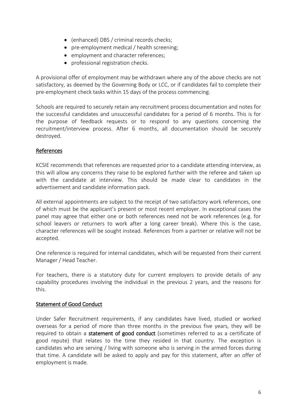- (enhanced) DBS / criminal records checks;
- pre-employment medical / health screening;
- employment and character references;
- professional registration checks.

A provisional offer of employment may be withdrawn where any of the above checks are not satisfactory, as deemed by the Governing Body or LCC, or if candidates fail to complete their pre-employment check tasks within 15 days of the process commencing.

Schools are required to securely retain any recruitment process documentation and notes for the successful candidates and unsuccessful candidates for a period of 6 months. This is for the purpose of feedback requests or to respond to any questions concerning the recruitment/interview process. After 6 months, all documentation should be securely destroyed.

# <span id="page-7-0"></span>References

KCSIE recommends that references are requested prior to a candidate attending interview, as this will allow any concerns they raise to be explored further with the referee and taken up with the candidate at interview. This should be made clear to candidates in the advertisement and candidate information pack.

All external appointments are subject to the receipt of two satisfactory work references, one of which must be the applicant's present or most recent employer. In exceptional cases the panel may agree that either one or both references need not be work references (e.g. for school leavers or returners to work after a long career break). Where this is the case, character references will be sought instead. References from a partner or relative will not be accepted.

One reference is required for internal candidates, which will be requested from their current Manager / Head Teacher.

For teachers, there is a statutory duty for current employers to provide details of any capability procedures involving the individual in the previous 2 years, and the reasons for this.

#### <span id="page-7-1"></span>Statement of Good Conduct

Under Safer Recruitment requirements, if any candidates have lived, studied or worked overseas for a period of more than three months in the previous five years, they will be required to obtain a **statement of good conduct** (sometimes referred to as a certificate of good repute) that relates to the time they resided in that country. The exception is candidates who are serving / living with someone who is serving in the armed forces during that time. A candidate will be asked to apply and pay for this statement, after an offer of employment is made.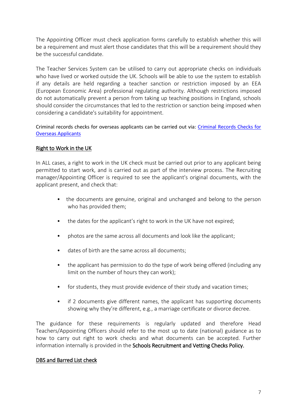The Appointing Officer must check application forms carefully to establish whether this will be a requirement and must alert those candidates that this will be a requirement should they be the successful candidate.

The Teacher Services System can be utilised to carry out appropriate checks on individuals who have lived or worked outside the UK. Schools will be able to use the system to establish if any details are held regarding a teacher sanction or restriction imposed by an EEA (European Economic Area) professional regulating authority. Although restrictions imposed do not automatically prevent a person from taking up teaching positions in England, schools should consider the circumstances that led to the restriction or sanction being imposed when considering a candidate's suitability for appointment.

Criminal records checks for overseas applicants can be carried out via: [Criminal Records Checks for](https://www.gov.uk/government/publications/criminal-records-checks-for-overseas-applicants)  [Overseas Applicants](https://www.gov.uk/government/publications/criminal-records-checks-for-overseas-applicants)

# <span id="page-8-0"></span>Right to Work in the UK

In ALL cases, a right to work in the UK check must be carried out prior to any applicant being permitted to start work, and is carried out as part of the interview process. The Recruiting manager/Appointing Officer is required to see the applicant's original documents, with the applicant present, and check that:

- the documents are genuine, original and unchanged and belong to the person who has provided them;
- the dates for the applicant's right to work in the UK have not expired;
- photos are the same across all documents and look like the applicant;
- dates of birth are the same across all documents;
- the applicant has permission to do the type of work being offered (including any limit on the number of hours they can work);
- for students, they must provide evidence of their study and vacation times;
- if 2 documents give different names, the applicant has supporting documents showing why they're different, e.g., a marriage certificate or divorce decree.

The guidance for these requirements is regularly updated and therefore Head Teachers/Appointing Officers should refer to the most up to date (national) guidance as to how to carry out right to work checks and what documents can be accepted. Further information internally is provided in the Schools Recruitment and Vetting Checks Policy.

#### <span id="page-8-1"></span>DBS and Barred List check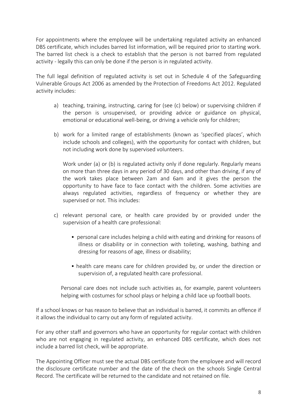For appointments where the employee will be undertaking regulated activity an enhanced DBS certificate, which includes barred list information, will be required prior to starting work. The barred list check is a check to establish that the person is not barred from regulated activity - legally this can only be done if the person is in regulated activity.

The full legal definition of regulated activity is set out in Schedule 4 of the Safeguarding Vulnerable Groups Act 2006 as amended by the Protection of Freedoms Act 2012. Regulated activity includes:

- a) teaching, training, instructing, caring for (see (c) below) or supervising children if the person is unsupervised, or providing advice or guidance on physical, emotional or educational well-being, or driving a vehicle only for children;
- b) work for a limited range of establishments (known as 'specified places', which include schools and colleges), with the opportunity for contact with children, but not including work done by supervised volunteers.

Work under (a) or (b) is regulated activity only if done regularly. Regularly means on more than three days in any period of 30 days, and other than driving, if any of the work takes place between 2am and 6am and it gives the person the opportunity to have face to face contact with the children. Some activities are always regulated activities, regardless of frequency or whether they are supervised or not. This includes:

- c) relevant personal care, or health care provided by or provided under the supervision of a health care professional:
	- personal care includes helping a child with eating and drinking for reasons of illness or disability or in connection with toileting, washing, bathing and dressing for reasons of age, illness or disability;
	- health care means care for children provided by, or under the direction or supervision of, a regulated health care professional.

Personal care does not include such activities as, for example, parent volunteers helping with costumes for school plays or helping a child lace up football boots.

If a school knows or has reason to believe that an individual is barred, it commits an offence if it allows the individual to carry out any form of regulated activity.

For any other staff and governors who have an opportunity for regular contact with children who are not engaging in regulated activity, an enhanced DBS certificate, which does not include a barred list check, will be appropriate.

The Appointing Officer must see the actual DBS certificate from the employee and will record the disclosure certificate number and the date of the check on the schools Single Central Record. The certificate will be returned to the candidate and not retained on file.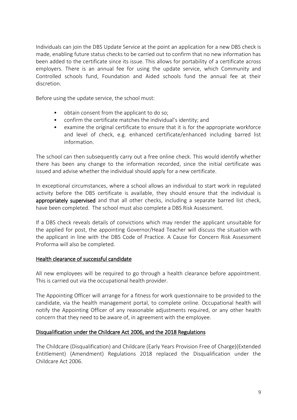Individuals can join the DBS Update Service at the point an application for a new DBS check is made, enabling future status checks to be carried out to confirm that no new information has been added to the certificate since its issue. This allows for portability of a certificate across employers. There is an annual fee for using the update service, which Community and Controlled schools fund, Foundation and Aided schools fund the annual fee at their discretion.

Before using the update service, the school must:

- obtain consent from the applicant to do so;
- confirm the certificate matches the individual's identity; and
- examine the original certificate to ensure that it is for the appropriate workforce and level of check, e.g. enhanced certificate/enhanced including barred list information.

The school can then subsequently carry out a free online check. This would identify whether there has been any change to the information recorded, since the initial certificate was issued and advise whether the individual should apply for a new certificate.

In exceptional circumstances, where a school allows an individual to start work in regulated activity before the DBS certificate is available, they should ensure that the individual is appropriately supervised and that all other checks, including a separate barred list check, have been completed. The school must also complete a DBS Risk Assessment.

If a DBS check reveals details of convictions which may render the applicant unsuitable for the applied for post, the appointing Governor/Head Teacher will discuss the situation with the applicant in line with the DBS Code of Practice. A Cause for Concern Risk Assessment Proforma will also be completed.

#### <span id="page-10-0"></span>Health clearance of successful candidate

All new employees will be required to go through a health clearance before appointment. This is carried out via the occupational health provider.

The Appointing Officer will arrange for a fitness for work questionnaire to be provided to the candidate, via the health management portal, to complete online. Occupational health will notify the Appointing Officer of any reasonable adjustments required, or any other health concern that they need to be aware of, in agreement with the employee.

#### <span id="page-10-1"></span>Disqualification under the Childcare Act 2006, and the 2018 Regulations

The Childcare (Disqualification) and Childcare (Early Years Provision Free of Charge)(Extended Entitlement) (Amendment) Regulations 2018 replaced the Disqualification under the Childcare Act 2006.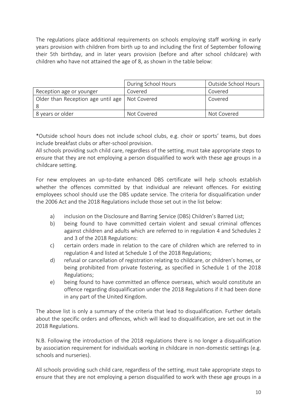The regulations place additional requirements on schools employing staff working in early years provision with children from birth up to and including the first of September following their 5th birthday, and in later years provision (before and after school childcare) with children who have not attained the age of 8, as shown in the table below:

|                                                  | During School Hours | Outside School Hours |
|--------------------------------------------------|---------------------|----------------------|
| Reception age or younger                         | Covered             | Covered              |
| Older than Reception age until age   Not Covered |                     | Covered              |
| 8 years or older                                 | Not Covered         | Not Covered          |

\*Outside school hours does not include school clubs, e.g. choir or sports' teams, but does include breakfast clubs or after-school provision.

All schools providing such child care, regardless of the setting, must take appropriate steps to ensure that they are not employing a person disqualified to work with these age groups in a childcare setting.

For new employees an up-to-date enhanced DBS certificate will help schools establish whether the offences committed by that individual are relevant offences. For existing employees school should use the DBS update service. The criteria for disqualification under the 2006 Act and the 2018 Regulations include those set out in the list below:

- a) inclusion on the Disclosure and Barring Service (DBS) Children's Barred List;
- b) being found to have committed certain violent and sexual criminal offences against children and adults which are referred to in regulation 4 and Schedules 2 and 3 of the 2018 Regulations:
- c) certain orders made in relation to the care of children which are referred to in regulation 4 and listed at Schedule 1 of the 2018 Regulations;
- d) refusal or cancellation of registration relating to childcare, or children's homes, or being prohibited from private fostering, as specified in Schedule 1 of the 2018 Regulations;
- e) being found to have committed an offence overseas, which would constitute an offence regarding disqualification under the 2018 Regulations if it had been done in any part of the United Kingdom.

The above list is only a summary of the criteria that lead to disqualification. Further details about the specific orders and offences, which will lead to disqualification, are set out in the 2018 Regulations.

N.B. Following the introduction of the 2018 regulations there is no longer a disqualification by association requirement for individuals working in childcare in non-domestic settings (e.g. schools and nurseries).

All schools providing such child care, regardless of the setting, must take appropriate steps to ensure that they are not employing a person disqualified to work with these age groups in a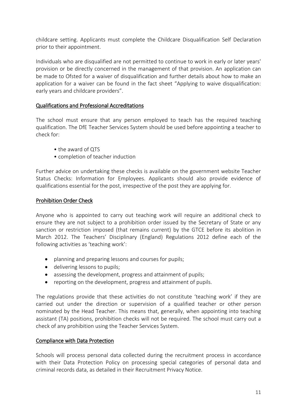childcare setting. Applicants must complete the Childcare Disqualification Self Declaration prior to their appointment.

Individuals who are disqualified are not permitted to continue to work in early or later years' provision or be directly concerned in the management of that provision. An application can be made to Ofsted for a waiver of disqualification and further details about how to make an application for a waiver can be found in the fact sheet "Applying to waive disqualification: early years and childcare providers".

# <span id="page-12-0"></span>Qualifications and Professional Accreditations

The school must ensure that any person employed to teach has the required teaching qualification. The DfE Teacher Services System should be used before appointing a teacher to check for:

- the award of QTS
- completion of teacher induction

Further advice on undertaking these checks is available on the government website Teacher Status Checks: Information for Employees. Applicants should also provide evidence of qualifications essential for the post, irrespective of the post they are applying for.

# <span id="page-12-1"></span>Prohibition Order Check

Anyone who is appointed to carry out teaching work will require an additional check to ensure they are not subject to a prohibition order issued by the Secretary of State or any sanction or restriction imposed (that remains current) by the GTCE before its abolition in March 2012. The Teachers' Disciplinary (England) Regulations 2012 define each of the following activities as 'teaching work':

- planning and preparing lessons and courses for pupils;
- delivering lessons to pupils;
- assessing the development, progress and attainment of pupils;
- reporting on the development, progress and attainment of pupils.

The regulations provide that these activities do not constitute 'teaching work' if they are carried out under the direction or supervision of a qualified teacher or other person nominated by the Head Teacher. This means that, generally, when appointing into teaching assistant (TA) positions, prohibition checks will not be required. The school must carry out a check of any prohibition using the Teacher Services System.

#### <span id="page-12-2"></span>Compliance with Data Protection

Schools will process personal data collected during the recruitment process in accordance with their Data Protection [Policy on processing special categories of personal data and](http://www.xperthr.co.uk/policies-and-documents/policy-on-processing-special-category-personal-data-and-criminal-records-data/163520/)  [criminal records data,](http://www.xperthr.co.uk/policies-and-documents/policy-on-processing-special-category-personal-data-and-criminal-records-data/163520/) as detailed in their Recruitment Privacy Notice.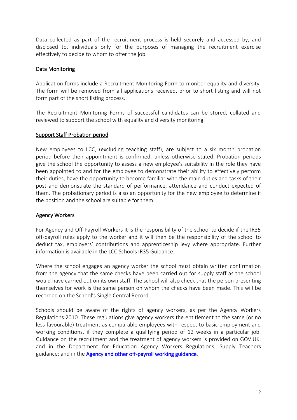Data collected as part of the recruitment process is held securely and accessed by, and disclosed to, individuals only for the purposes of managing the recruitment exercise effectively to decide to whom to offer the job.

# <span id="page-13-0"></span>Data Monitoring

Application forms include a Recruitment Monitoring Form to monitor equality and diversity. The form will be removed from all applications received, prior to short listing and will not form part of the short listing process.

The Recruitment Monitoring Forms of successful candidates can be stored, collated and reviewed to support the school with equality and diversity monitoring.

#### <span id="page-13-1"></span>Support Staff Probation period

New employees to LCC, (excluding teaching staff), are subject to a six month probation period before their appointment is confirmed, unless otherwise stated. Probation periods give the school the opportunity to assess a new employee's suitability in the role they have been appointed to and for the employee to demonstrate their ability to effectively perform their duties, have the opportunity to become familiar with the main duties and tasks of their post and demonstrate the standard of performance, attendance and conduct expected of them. The probationary period is also an opportunity for the new employee to determine if the position and the school are suitable for them.

#### <span id="page-13-2"></span>Agency Workers

For Agency and Off-Payroll Workers it is the responsibility of the school to decide if the IR35 off-payroll rules apply to the worker and it will then be the responsibility of the school to deduct tax, employers' contributions and apprenticeship levy where appropriate. Further information is available in the LCC Schools IR35 Guidance.

Where the school engages an agency worker the school must obtain written confirmation from the agency that the same checks have been carried out for supply staff as the school would have carried out on its own staff. The school will also check that the person presenting themselves for work is the same person on whom the checks have been made. This will be recorded on the School's Single Central Record.

<span id="page-13-3"></span>Schools should be aware of the rights of agency workers, as per the Agency Workers Regulations 2010. These regulations give agency workers the entitlement to the same (or no less favourable) treatment as comparable employees with respect to basic employment and working conditions, if they complete a qualifying period of 12 weeks in a particular job. Guidance on the recruitment and the treatment of agency workers is provided on GOV.UK. and in the Department for Education Agency Workers Regulations; Supply Teachers guidance; and in the [Agency and other off-payroll working guidance.](https://professionals.lincolnshire.gov.uk/downloads/download/103/agency-and-other-off-payroll-working?downloadID=103)